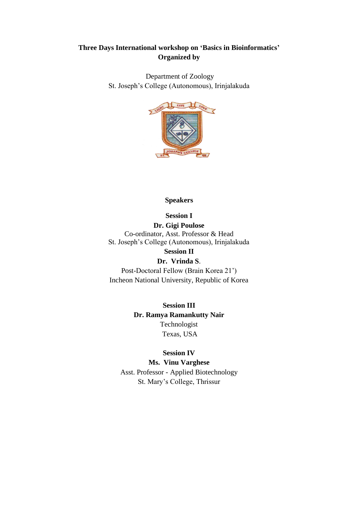# **Three Days International workshop on 'Basics in Bioinformatics' Organized by**

Department of Zoology St. Joseph's College (Autonomous), Irinjalakuda



### **Speakers**

**Session I**

**Dr. Gigi Poulose** Co-ordinator, Asst. Professor & Head St. Joseph's College (Autonomous), Irinjalakuda **Session II** 

# **Dr. Vrinda S**.

Post-Doctoral Fellow (Brain Korea 21') Incheon National University, Republic of Korea

> **Session III Dr. Ramya Ramankutty Nair** Technologist Texas, USA

## **Session IV**

### **Ms. Vinu Varghese**

Asst. Professor - Applied Biotechnology St. Mary's College, Thrissur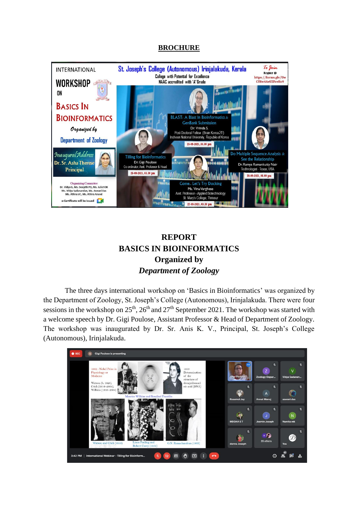## **BROCHURE**



# **REPORT BASICS IN BIOINFORMATICS Organized by** *Department of Zoology*

The three days international workshop on 'Basics in Bioinformatics' was organized by the Department of Zoology, St. Joseph's College (Autonomous), Irinjalakuda. There were four sessions in the workshop on  $25<sup>th</sup>$ ,  $26<sup>th</sup>$  and  $27<sup>th</sup>$  September 2021. The workshop was started with a welcome speech by Dr. Gigi Poulose, Assistant Professor & Head of Department of Zoology. The workshop was inaugurated by Dr. Sr. Anis K. V., Principal, St. Joseph's College (Autonomous), Irinjalakuda.

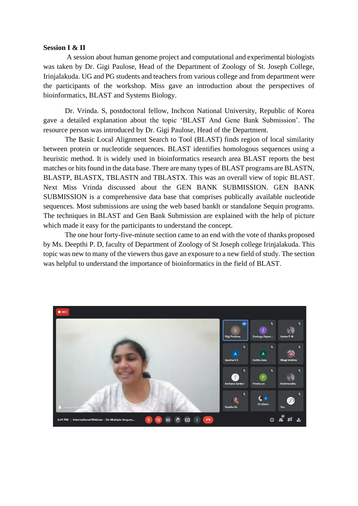#### **Session I & II**

A session about human genome project and computational and experimental biologists was taken by Dr. Gigi Paulose, Head of the Department of Zoology of St. Joseph College, Irinjalakuda. UG and PG students and teachers from various college and from department were the participants of the workshop. Miss gave an introduction about the perspectives of bioinformatics, BLAST and Systems Biology.

Dr. Vrinda. S, postdoctoral fellow, Inchcon National University, Republic of Korea gave a detailed explanation about the topic 'BLAST And Gene Bank Submission'. The resource person was introduced by Dr. Gigi Paulose, Head of the Department.

The Basic Local Alignment Search to Tool (BLAST) finds region of local similarity between protein or nucleotide sequences. BLAST identifies homologous sequences using a heuristic method. It is widely used in bioinformatics research area BLAST reports the best matches or hits found in the data base. There are many types of BLAST programs are BLASTN, BLASTP, BLASTX, TBLASTN and TBLASTX. This was an overall view of topic BLAST. Next Miss Vrinda discussed about the GEN BANK SUBMISSION. GEN BANK SUBMISSION is a comprehensive data base that comprises publically available nucleotide sequences. Most submissions are using the web based banklt or standalone Sequin programs. The techniques in BLAST and Gen Bank Submission are explained with the help of picture which made it easy for the participants to understand the concept.

The one hour forty-five-minute section came to an end with the vote of thanks proposed by Ms. Deepthi P. D, faculty of Department of Zoology of St Joseph college Irinjalakuda. This topic was new to many of the viewers thus gave an exposure to a new field of study. The section was helpful to understand the importance of bioinformatics in the field of BLAST.

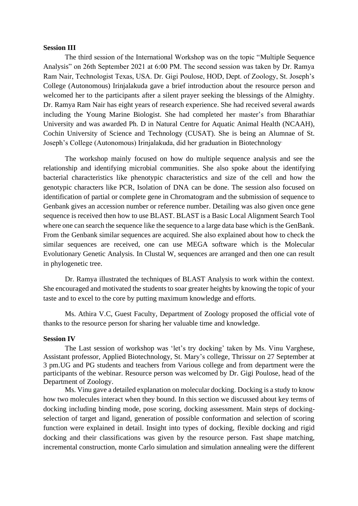#### **Session III**

The third session of the International Workshop was on the topic "Multiple Sequence Analysis" on 26th September 2021 at 6:00 PM. The second session was taken by Dr. Ramya Ram Nair, Technologist Texas, USA. Dr. Gigi Poulose, HOD, Dept. of Zoology, St. Joseph's College (Autonomous) Irinjalakuda gave a brief introduction about the resource person and welcomed her to the participants after a silent prayer seeking the blessings of the Almighty. Dr. Ramya Ram Nair has eight years of research experience. She had received several awards including the Young Marine Biologist. She had completed her master's from Bharathiar University and was awarded Ph. D in Natural Centre for Aquatic Animal Health (NCAAH), Cochin University of Science and Technology (CUSAT). She is being an Alumnae of St. Joseph's College (Autonomous) Irinjalakuda, did her graduation in Biotechnology.

The workshop mainly focused on how do multiple sequence analysis and see the relationship and identifying microbial communities. She also spoke about the identifying bacterial characteristics like phenotypic characteristics and size of the cell and how the genotypic characters like PCR, Isolation of DNA can be done. The session also focused on identification of partial or complete gene in Chromatogram and the submission of sequence to Genbank gives an accession number or reference number. Detailing was also given once gene sequence is received then how to use BLAST. BLAST is a Basic Local Alignment Search Tool where one can search the sequence like the sequence to a large data base which is the GenBank. From the Genbank similar sequences are acquired. She also explained about how to check the similar sequences are received, one can use MEGA software which is the Molecular Evolutionary Genetic Analysis. In Clustal W, sequences are arranged and then one can result in phylogenetic tree.

Dr. Ramya illustrated the techniques of BLAST Analysis to work within the context. She encouraged and motivated the students to soar greater heights by knowing the topic of your taste and to excel to the core by putting maximum knowledge and efforts.

Ms. Athira V.C, Guest Faculty, Department of Zoology proposed the official vote of thanks to the resource person for sharing her valuable time and knowledge.

#### **Session IV**

The Last session of workshop was 'let's try docking' taken by Ms. Vinu Varghese, Assistant professor, Applied Biotechnology, St. Mary's college, Thrissur on 27 September at 3 pm.UG and PG students and teachers from Various college and from department were the participants of the webinar. Resource person was welcomed by Dr. Gigi Poulose, head of the Department of Zoology.

Ms. Vinu gave a detailed explanation on molecular docking. Docking is a study to know how two molecules interact when they bound. In this section we discussed about key terms of docking including binding mode, pose scoring, docking assessment. Main steps of dockingselection of target and ligand, generation of possible conformation and selection of scoring function were explained in detail. Insight into types of docking, flexible docking and rigid docking and their classifications was given by the resource person. Fast shape matching, incremental construction, monte Carlo simulation and simulation annealing were the different